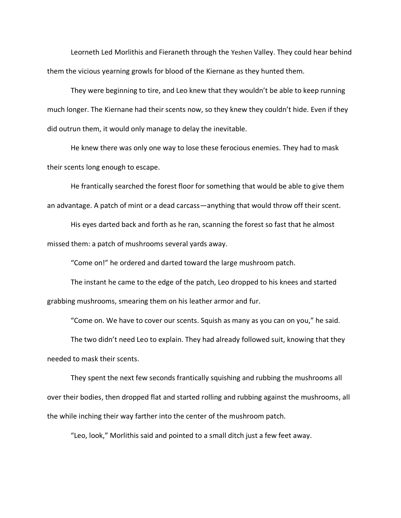Leorneth Led Morlithis and Fieraneth through the Yeshen Valley. They could hear behind them the vicious yearning growls for blood of the Kiernane as they hunted them.

They were beginning to tire, and Leo knew that they wouldn't be able to keep running much longer. The Kiernane had their scents now, so they knew they couldn't hide. Even if they did outrun them, it would only manage to delay the inevitable.

He knew there was only one way to lose these ferocious enemies. They had to mask their scents long enough to escape.

He frantically searched the forest floor for something that would be able to give them an advantage. A patch of mint or a dead carcass—anything that would throw off their scent.

His eyes darted back and forth as he ran, scanning the forest so fast that he almost missed them: a patch of mushrooms several yards away.

"Come on!" he ordered and darted toward the large mushroom patch.

The instant he came to the edge of the patch, Leo dropped to his knees and started grabbing mushrooms, smearing them on his leather armor and fur.

"Come on. We have to cover our scents. Squish as many as you can on you," he said.

The two didn't need Leo to explain. They had already followed suit, knowing that they needed to mask their scents.

They spent the next few seconds frantically squishing and rubbing the mushrooms all over their bodies, then dropped flat and started rolling and rubbing against the mushrooms, all the while inching their way farther into the center of the mushroom patch.

"Leo, look," Morlithis said and pointed to a small ditch just a few feet away.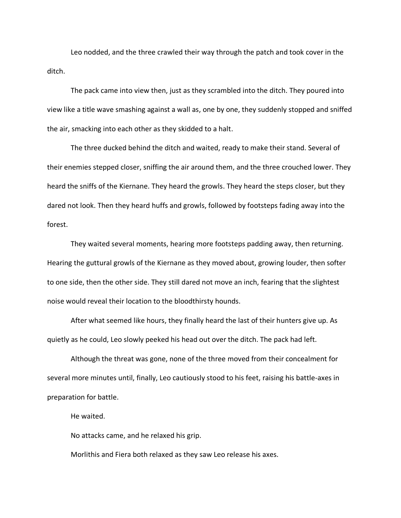Leo nodded, and the three crawled their way through the patch and took cover in the ditch.

The pack came into view then, just as they scrambled into the ditch. They poured into view like a title wave smashing against a wall as, one by one, they suddenly stopped and sniffed the air, smacking into each other as they skidded to a halt.

The three ducked behind the ditch and waited, ready to make their stand. Several of their enemies stepped closer, sniffing the air around them, and the three crouched lower. They heard the sniffs of the Kiernane. They heard the growls. They heard the steps closer, but they dared not look. Then they heard huffs and growls, followed by footsteps fading away into the forest.

They waited several moments, hearing more footsteps padding away, then returning. Hearing the guttural growls of the Kiernane as they moved about, growing louder, then softer to one side, then the other side. They still dared not move an inch, fearing that the slightest noise would reveal their location to the bloodthirsty hounds.

After what seemed like hours, they finally heard the last of their hunters give up. As quietly as he could, Leo slowly peeked his head out over the ditch. The pack had left.

Although the threat was gone, none of the three moved from their concealment for several more minutes until, finally, Leo cautiously stood to his feet, raising his battle-axes in preparation for battle.

He waited.

No attacks came, and he relaxed his grip.

Morlithis and Fiera both relaxed as they saw Leo release his axes.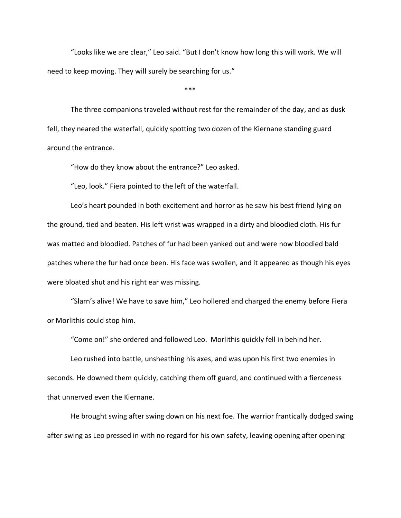"Looks like we are clear," Leo said. "But I don't know how long this will work. We will need to keep moving. They will surely be searching for us."

\*\*\*

The three companions traveled without rest for the remainder of the day, and as dusk fell, they neared the waterfall, quickly spotting two dozen of the Kiernane standing guard around the entrance.

"How do they know about the entrance?" Leo asked.

"Leo, look." Fiera pointed to the left of the waterfall.

Leo's heart pounded in both excitement and horror as he saw his best friend lying on the ground, tied and beaten. His left wrist was wrapped in a dirty and bloodied cloth. His fur was matted and bloodied. Patches of fur had been yanked out and were now bloodied bald patches where the fur had once been. His face was swollen, and it appeared as though his eyes were bloated shut and his right ear was missing.

"Slarn's alive! We have to save him," Leo hollered and charged the enemy before Fiera or Morlithis could stop him.

"Come on!" she ordered and followed Leo. Morlithis quickly fell in behind her.

Leo rushed into battle, unsheathing his axes, and was upon his first two enemies in seconds. He downed them quickly, catching them off guard, and continued with a fierceness that unnerved even the Kiernane.

He brought swing after swing down on his next foe. The warrior frantically dodged swing after swing as Leo pressed in with no regard for his own safety, leaving opening after opening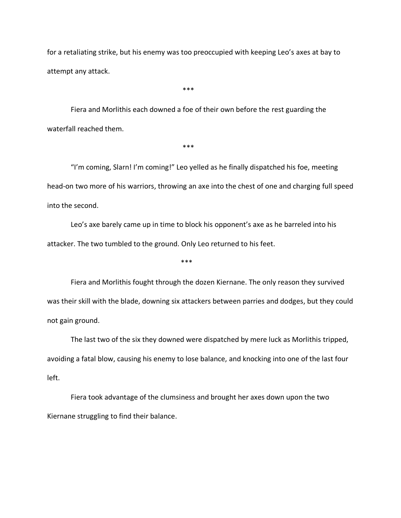for a retaliating strike, but his enemy was too preoccupied with keeping Leo's axes at bay to attempt any attack.

\*\*\*

Fiera and Morlithis each downed a foe of their own before the rest guarding the waterfall reached them.

\*\*\*

"I'm coming, Slarn! I'm coming!" Leo yelled as he finally dispatched his foe, meeting head-on two more of his warriors, throwing an axe into the chest of one and charging full speed into the second.

Leo's axe barely came up in time to block his opponent's axe as he barreled into his attacker. The two tumbled to the ground. Only Leo returned to his feet.

\*\*\*

Fiera and Morlithis fought through the dozen Kiernane. The only reason they survived was their skill with the blade, downing six attackers between parries and dodges, but they could not gain ground.

The last two of the six they downed were dispatched by mere luck as Morlithis tripped, avoiding a fatal blow, causing his enemy to lose balance, and knocking into one of the last four left.

Fiera took advantage of the clumsiness and brought her axes down upon the two Kiernane struggling to find their balance.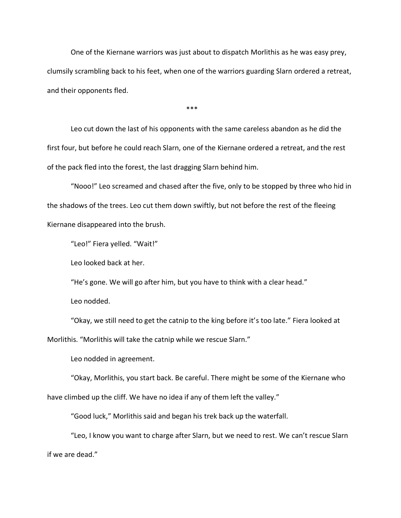One of the Kiernane warriors was just about to dispatch Morlithis as he was easy prey, clumsily scrambling back to his feet, when one of the warriors guarding Slarn ordered a retreat, and their opponents fled.

 $***$ 

Leo cut down the last of his opponents with the same careless abandon as he did the first four, but before he could reach Slarn, one of the Kiernane ordered a retreat, and the rest of the pack fled into the forest, the last dragging Slarn behind him.

"Nooo!" Leo screamed and chased after the five, only to be stopped by three who hid in the shadows of the trees. Leo cut them down swiftly, but not before the rest of the fleeing Kiernane disappeared into the brush.

"Leo!" Fiera yelled. "Wait!"

Leo looked back at her.

"He's gone. We will go after him, but you have to think with a clear head."

Leo nodded.

"Okay, we still need to get the catnip to the king before it's too late." Fiera looked at

Morlithis. "Morlithis will take the catnip while we rescue Slarn."

Leo nodded in agreement.

"Okay, Morlithis, you start back. Be careful. There might be some of the Kiernane who have climbed up the cliff. We have no idea if any of them left the valley."

"Good luck," Morlithis said and began his trek back up the waterfall.

"Leo, I know you want to charge after Slarn, but we need to rest. We can't rescue Slarn if we are dead."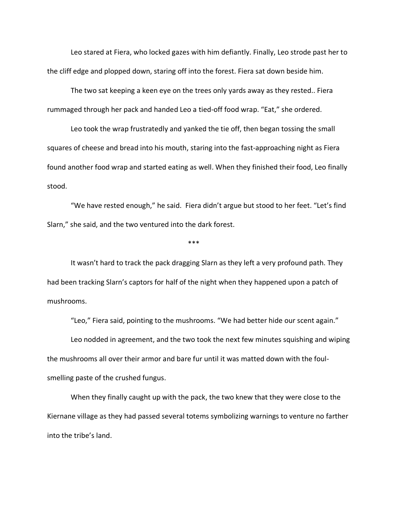Leo stared at Fiera, who locked gazes with him defiantly. Finally, Leo strode past her to the cliff edge and plopped down, staring off into the forest. Fiera sat down beside him.

The two sat keeping a keen eye on the trees only yards away as they rested.. Fiera rummaged through her pack and handed Leo a tied-off food wrap. "Eat," she ordered.

Leo took the wrap frustratedly and yanked the tie off, then began tossing the small squares of cheese and bread into his mouth, staring into the fast-approaching night as Fiera found another food wrap and started eating as well. When they finished their food, Leo finally stood.

"We have rested enough," he said. Fiera didn't argue but stood to her feet. "Let's find Slarn," she said, and the two ventured into the dark forest.

\*\*\*\*

It wasn't hard to track the pack dragging Slarn as they left a very profound path. They had been tracking Slarn's captors for half of the night when they happened upon a patch of mushrooms.

"Leo," Fiera said, pointing to the mushrooms. "We had better hide our scent again."

Leo nodded in agreement, and the two took the next few minutes squishing and wiping the mushrooms all over their armor and bare fur until it was matted down with the foulsmelling paste of the crushed fungus.

When they finally caught up with the pack, the two knew that they were close to the Kiernane village as they had passed several totems symbolizing warnings to venture no farther into the tribe's land.